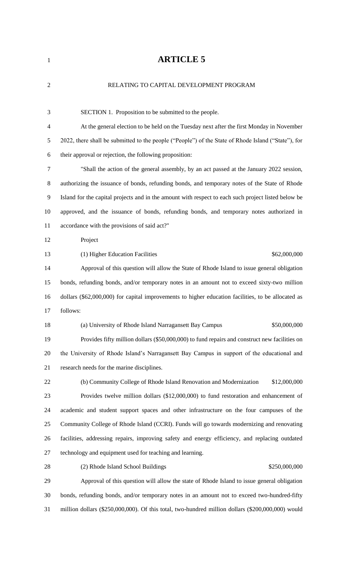# **ARTICLE 5**

| $\overline{2}$ | RELATING TO CAPITAL DEVELOPMENT PROGRAM                                                             |
|----------------|-----------------------------------------------------------------------------------------------------|
| 3              | SECTION 1. Proposition to be submitted to the people.                                               |
| $\overline{4}$ | At the general election to be held on the Tuesday next after the first Monday in November           |
| 5              | 2022, there shall be submitted to the people ("People") of the State of Rhode Island ("State"), for |
| 6              | their approval or rejection, the following proposition:                                             |
| $\overline{7}$ | "Shall the action of the general assembly, by an act passed at the January 2022 session,            |
| 8              | authorizing the issuance of bonds, refunding bonds, and temporary notes of the State of Rhode       |
| 9              | Island for the capital projects and in the amount with respect to each such project listed below be |
| 10             | approved, and the issuance of bonds, refunding bonds, and temporary notes authorized in             |
| 11             | accordance with the provisions of said act?"                                                        |
| 12             | Project                                                                                             |
| 13             | (1) Higher Education Facilities<br>\$62,000,000                                                     |
| 14             | Approval of this question will allow the State of Rhode Island to issue general obligation          |
| 15             | bonds, refunding bonds, and/or temporary notes in an amount not to exceed sixty-two million         |
| 16             | dollars (\$62,000,000) for capital improvements to higher education facilities, to be allocated as  |
| 17             | follows:                                                                                            |
| 18             | \$50,000,000<br>(a) University of Rhode Island Narragansett Bay Campus                              |
| 19             | Provides fifty million dollars (\$50,000,000) to fund repairs and construct new facilities on       |
| 20             | the University of Rhode Island's Narragansett Bay Campus in support of the educational and          |
| 21             | research needs for the marine disciplines.                                                          |
| 22             | (b) Community College of Rhode Island Renovation and Modernization<br>\$12,000,000                  |
| 23             | Provides twelve million dollars (\$12,000,000) to fund restoration and enhancement of               |
| 24             | academic and student support spaces and other infrastructure on the four campuses of the            |
| 25             | Community College of Rhode Island (CCRI). Funds will go towards modernizing and renovating          |
| 26             | facilities, addressing repairs, improving safety and energy efficiency, and replacing outdated      |
| 27             | technology and equipment used for teaching and learning.                                            |
| 28             | (2) Rhode Island School Buildings<br>\$250,000,000                                                  |
| 29             | Approval of this question will allow the state of Rhode Island to issue general obligation          |
| 30             | bonds, refunding bonds, and/or temporary notes in an amount not to exceed two-hundred-fifty         |
| 31             | million dollars (\$250,000,000). Of this total, two-hundred million dollars (\$200,000,000) would   |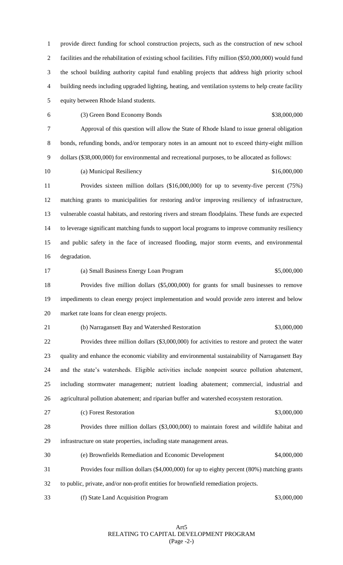provide direct funding for school construction projects, such as the construction of new school facilities and the rehabilitation of existing school facilities. Fifty million (\$50,000,000) would fund the school building authority capital fund enabling projects that address high priority school building needs including upgraded lighting, heating, and ventilation systems to help create facility equity between Rhode Island students.

(3) Green Bond Economy Bonds \$38,000,000

 Approval of this question will allow the State of Rhode Island to issue general obligation bonds, refunding bonds, and/or temporary notes in an amount not to exceed thirty-eight million dollars (\$38,000,000) for environmental and recreational purposes, to be allocated as follows:

(a) Municipal Resiliency \$16,000,000

 Provides sixteen million dollars (\$16,000,000) for up to seventy-five percent (75%) matching grants to municipalities for restoring and/or improving resiliency of infrastructure, vulnerable coastal habitats, and restoring rivers and stream floodplains. These funds are expected to leverage significant matching funds to support local programs to improve community resiliency and public safety in the face of increased flooding, major storm events, and environmental degradation.

 (a) Small Business Energy Loan Program \$5,000,000 Provides five million dollars (\$5,000,000) for grants for small businesses to remove impediments to clean energy project implementation and would provide zero interest and below market rate loans for clean energy projects.

21 (b) Narragansett Bay and Watershed Restoration  $$3,000,000$ 

 Provides three million dollars (\$3,000,000) for activities to restore and protect the water quality and enhance the economic viability and environmental sustainability of Narragansett Bay and the state's watersheds. Eligible activities include nonpoint source pollution abatement, including stormwater management; nutrient loading abatement; commercial, industrial and agricultural pollution abatement; and riparian buffer and watershed ecosystem restoration.

27 (c) Forest Restoration  $\qquad$  83,000,000

 Provides three million dollars (\$3,000,000) to maintain forest and wildlife habitat and infrastructure on state properties, including state management areas.

- (e) Brownfields Remediation and Economic Development \$4,000,000
- Provides four million dollars (\$4,000,000) for up to eighty percent (80%) matching grants
- to public, private, and/or non-profit entities for brownfield remediation projects.
- (f) State Land Acquisition Program \$3,000,000

Art5 RELATING TO CAPITAL DEVELOPMENT PROGRAM (Page -2-)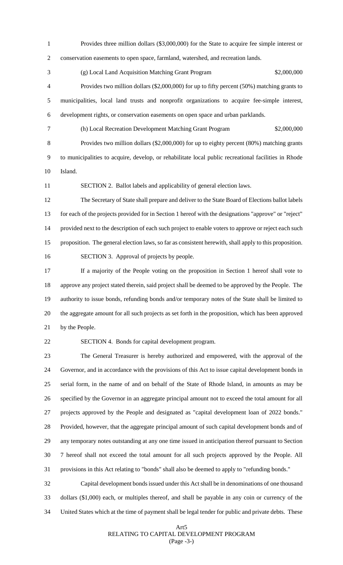Provides three million dollars (\$3,000,000) for the State to acquire fee simple interest or conservation easements to open space, farmland, watershed, and recreation lands.

 (g) Local Land Acquisition Matching Grant Program \$2,000,000 Provides two million dollars (\$2,000,000) for up to fifty percent (50%) matching grants to municipalities, local land trusts and nonprofit organizations to acquire fee-simple interest, development rights, or conservation easements on open space and urban parklands.

 (h) Local Recreation Development Matching Grant Program \$2,000,000 Provides two million dollars (\$2,000,000) for up to eighty percent (80%) matching grants to municipalities to acquire, develop, or rehabilitate local public recreational facilities in Rhode Island.

SECTION 2. Ballot labels and applicability of general election laws.

 The Secretary of State shall prepare and deliver to the State Board of Elections ballot labels for each of the projects provided for in Section 1 hereof with the designations "approve" or "reject" provided next to the description of each such project to enable voters to approve or reject each such proposition. The general election laws, so far as consistent herewith, shall apply to this proposition. SECTION 3. Approval of projects by people.

 If a majority of the People voting on the proposition in Section 1 hereof shall vote to approve any project stated therein, said project shall be deemed to be approved by the People. The authority to issue bonds, refunding bonds and/or temporary notes of the State shall be limited to the aggregate amount for all such projects as set forth in the proposition, which has been approved by the People.

SECTION 4. Bonds for capital development program.

 The General Treasurer is hereby authorized and empowered, with the approval of the Governor, and in accordance with the provisions of this Act to issue capital development bonds in serial form, in the name of and on behalf of the State of Rhode Island, in amounts as may be specified by the Governor in an aggregate principal amount not to exceed the total amount for all projects approved by the People and designated as "capital development loan of 2022 bonds." Provided, however, that the aggregate principal amount of such capital development bonds and of any temporary notes outstanding at any one time issued in anticipation thereof pursuant to Section 7 hereof shall not exceed the total amount for all such projects approved by the People. All provisions in this Act relating to "bonds" shall also be deemed to apply to "refunding bonds."

 Capital development bonds issued under this Act shall be in denominations of one thousand dollars (\$1,000) each, or multiples thereof, and shall be payable in any coin or currency of the United States which at the time of payment shall be legal tender for public and private debts. These

## Art5 RELATING TO CAPITAL DEVELOPMENT PROGRAM (Page -3-)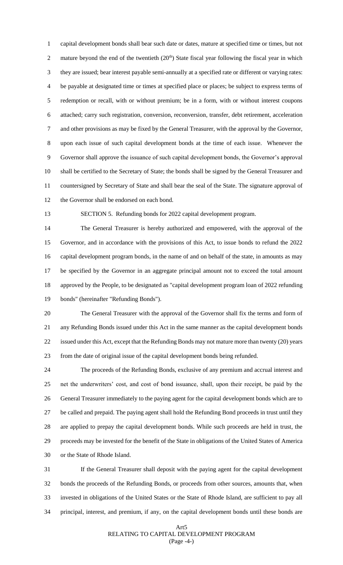capital development bonds shall bear such date or dates, mature at specified time or times, but not 2 mature beyond the end of the twentieth  $(20<sup>th</sup>)$  State fiscal year following the fiscal year in which they are issued; bear interest payable semi-annually at a specified rate or different or varying rates: be payable at designated time or times at specified place or places; be subject to express terms of redemption or recall, with or without premium; be in a form, with or without interest coupons attached; carry such registration, conversion, reconversion, transfer, debt retirement, acceleration and other provisions as may be fixed by the General Treasurer, with the approval by the Governor, upon each issue of such capital development bonds at the time of each issue. Whenever the Governor shall approve the issuance of such capital development bonds, the Governor's approval shall be certified to the Secretary of State; the bonds shall be signed by the General Treasurer and countersigned by Secretary of State and shall bear the seal of the State. The signature approval of the Governor shall be endorsed on each bond.

SECTION 5. Refunding bonds for 2022 capital development program.

 The General Treasurer is hereby authorized and empowered, with the approval of the Governor, and in accordance with the provisions of this Act, to issue bonds to refund the 2022 capital development program bonds, in the name of and on behalf of the state, in amounts as may be specified by the Governor in an aggregate principal amount not to exceed the total amount approved by the People, to be designated as "capital development program loan of 2022 refunding bonds" (hereinafter "Refunding Bonds").

 The General Treasurer with the approval of the Governor shall fix the terms and form of any Refunding Bonds issued under this Act in the same manner as the capital development bonds 22 issued under this Act, except that the Refunding Bonds may not mature more than twenty (20) years from the date of original issue of the capital development bonds being refunded.

 The proceeds of the Refunding Bonds, exclusive of any premium and accrual interest and net the underwriters' cost, and cost of bond issuance, shall, upon their receipt, be paid by the General Treasurer immediately to the paying agent for the capital development bonds which are to be called and prepaid. The paying agent shall hold the Refunding Bond proceeds in trust until they are applied to prepay the capital development bonds. While such proceeds are held in trust, the proceeds may be invested for the benefit of the State in obligations of the United States of America or the State of Rhode Island.

 If the General Treasurer shall deposit with the paying agent for the capital development bonds the proceeds of the Refunding Bonds, or proceeds from other sources, amounts that, when invested in obligations of the United States or the State of Rhode Island, are sufficient to pay all principal, interest, and premium, if any, on the capital development bonds until these bonds are

### Art5 RELATING TO CAPITAL DEVELOPMENT PROGRAM (Page -4-)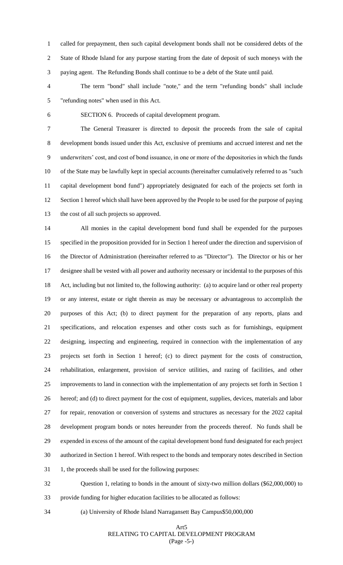called for prepayment, then such capital development bonds shall not be considered debts of the State of Rhode Island for any purpose starting from the date of deposit of such moneys with the paying agent. The Refunding Bonds shall continue to be a debt of the State until paid.

 The term "bond" shall include "note," and the term "refunding bonds" shall include "refunding notes" when used in this Act.

SECTION 6. Proceeds of capital development program.

 The General Treasurer is directed to deposit the proceeds from the sale of capital development bonds issued under this Act, exclusive of premiums and accrued interest and net the underwriters' cost, and cost of bond issuance, in one or more of the depositories in which the funds of the State may be lawfully kept in special accounts (hereinafter cumulatively referred to as "such capital development bond fund") appropriately designated for each of the projects set forth in Section 1 hereof which shall have been approved by the People to be used for the purpose of paying the cost of all such projects so approved.

 All monies in the capital development bond fund shall be expended for the purposes specified in the proposition provided for in Section 1 hereof under the direction and supervision of the Director of Administration (hereinafter referred to as "Director"). The Director or his or her designee shall be vested with all power and authority necessary or incidental to the purposes of this Act, including but not limited to, the following authority: (a) to acquire land or other real property or any interest, estate or right therein as may be necessary or advantageous to accomplish the purposes of this Act; (b) to direct payment for the preparation of any reports, plans and specifications, and relocation expenses and other costs such as for furnishings, equipment designing, inspecting and engineering, required in connection with the implementation of any projects set forth in Section 1 hereof; (c) to direct payment for the costs of construction, rehabilitation, enlargement, provision of service utilities, and razing of facilities, and other improvements to land in connection with the implementation of any projects set forth in Section 1 hereof; and (d) to direct payment for the cost of equipment, supplies, devices, materials and labor for repair, renovation or conversion of systems and structures as necessary for the 2022 capital development program bonds or notes hereunder from the proceeds thereof. No funds shall be expended in excess of the amount of the capital development bond fund designated for each project authorized in Section 1 hereof. With respect to the bonds and temporary notes described in Section 31 1, the proceeds shall be used for the following purposes:

 Question 1, relating to bonds in the amount of sixty-two million dollars (\$62,000,000) to provide funding for higher education facilities to be allocated as follows:

(a) University of Rhode Island Narragansett Bay Campus\$50,000,000

### Art5 RELATING TO CAPITAL DEVELOPMENT PROGRAM (Page -5-)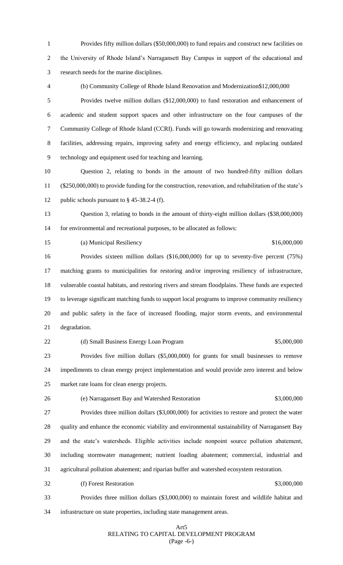Provides fifty million dollars (\$50,000,000) to fund repairs and construct new facilities on the University of Rhode Island's Narragansett Bay Campus in support of the educational and research needs for the marine disciplines.

 (b) Community College of Rhode Island Renovation and Modernization\$12,000,000 Provides twelve million dollars (\$12,000,000) to fund restoration and enhancement of academic and student support spaces and other infrastructure on the four campuses of the Community College of Rhode Island (CCRI). Funds will go towards modernizing and renovating facilities, addressing repairs, improving safety and energy efficiency, and replacing outdated technology and equipment used for teaching and learning.

 Question 2, relating to bonds in the amount of two hundred-fifty million dollars (\$250,000,000) to provide funding for the construction, renovation, and rehabilitation of the state's 12 public schools pursuant to § 45-38.2-4 (f).

 Question 3, relating to bonds in the amount of thirty-eight million dollars (\$38,000,000) for environmental and recreational purposes, to be allocated as follows:

15 (a) Municipal Resiliency **616,000,000** (a) Municipal Resiliency

 Provides sixteen million dollars (\$16,000,000) for up to seventy-five percent (75%) matching grants to municipalities for restoring and/or improving resiliency of infrastructure, vulnerable coastal habitats, and restoring rivers and stream floodplains. These funds are expected to leverage significant matching funds to support local programs to improve community resiliency and public safety in the face of increased flooding, major storm events, and environmental degradation.

22 (d) Small Business Energy Loan Program \$5,000,000 Provides five million dollars (\$5,000,000) for grants for small businesses to remove impediments to clean energy project implementation and would provide zero interest and below market rate loans for clean energy projects.

(e) Narragansett Bay and Watershed Restoration \$3,000,000

 Provides three million dollars (\$3,000,000) for activities to restore and protect the water quality and enhance the economic viability and environmental sustainability of Narragansett Bay and the state's watersheds. Eligible activities include nonpoint source pollution abatement, including stormwater management; nutrient loading abatement; commercial, industrial and agricultural pollution abatement; and riparian buffer and watershed ecosystem restoration.

 Provides three million dollars (\$3,000,000) to maintain forest and wildlife habitat and infrastructure on state properties, including state management areas.

32 (f) Forest Restoration  $$3,000,000$ 

### Art5 RELATING TO CAPITAL DEVELOPMENT PROGRAM (Page -6-)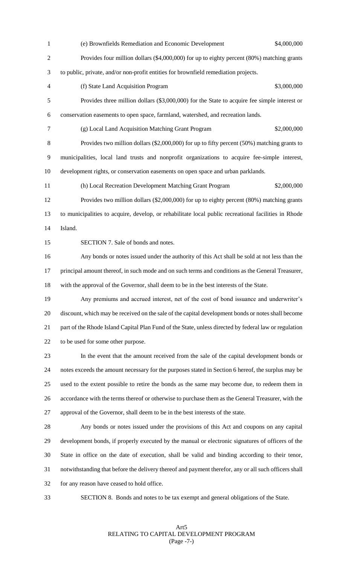(e) Brownfields Remediation and Economic Development \$4,000,000 Provides four million dollars (\$4,000,000) for up to eighty percent (80%) matching grants to public, private, and/or non-profit entities for brownfield remediation projects. (f) State Land Acquisition Program \$3,000,000 Provides three million dollars (\$3,000,000) for the State to acquire fee simple interest or conservation easements to open space, farmland, watershed, and recreation lands. (g) Local Land Acquisition Matching Grant Program \$2,000,000 Provides two million dollars (\$2,000,000) for up to fifty percent (50%) matching grants to municipalities, local land trusts and nonprofit organizations to acquire fee-simple interest, development rights, or conservation easements on open space and urban parklands. (h) Local Recreation Development Matching Grant Program \$2,000,000 Provides two million dollars (\$2,000,000) for up to eighty percent (80%) matching grants to municipalities to acquire, develop, or rehabilitate local public recreational facilities in Rhode Island. SECTION 7. Sale of bonds and notes. Any bonds or notes issued under the authority of this Act shall be sold at not less than the 17 principal amount thereof, in such mode and on such terms and conditions as the General Treasurer, with the approval of the Governor, shall deem to be in the best interests of the State. Any premiums and accrued interest, net of the cost of bond issuance and underwriter's discount, which may be received on the sale of the capital development bonds or notes shall become part of the Rhode Island Capital Plan Fund of the State, unless directed by federal law or regulation to be used for some other purpose. In the event that the amount received from the sale of the capital development bonds or notes exceeds the amount necessary for the purposes stated in Section 6 hereof, the surplus may be used to the extent possible to retire the bonds as the same may become due, to redeem them in accordance with the terms thereof or otherwise to purchase them as the General Treasurer, with the approval of the Governor, shall deem to be in the best interests of the state. Any bonds or notes issued under the provisions of this Act and coupons on any capital development bonds, if properly executed by the manual or electronic signatures of officers of the State in office on the date of execution, shall be valid and binding according to their tenor, notwithstanding that before the delivery thereof and payment therefor, any or all such officers shall for any reason have ceased to hold office.

SECTION 8. Bonds and notes to be tax exempt and general obligations of the State.

Art5 RELATING TO CAPITAL DEVELOPMENT PROGRAM (Page -7-)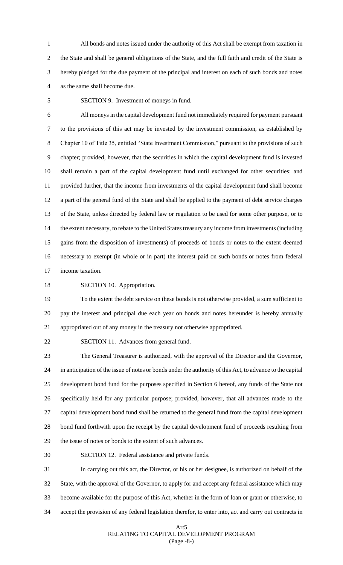All bonds and notes issued under the authority of this Act shall be exempt from taxation in the State and shall be general obligations of the State, and the full faith and credit of the State is hereby pledged for the due payment of the principal and interest on each of such bonds and notes as the same shall become due.

SECTION 9. Investment of moneys in fund.

 All moneys in the capital development fund not immediately required for payment pursuant to the provisions of this act may be invested by the investment commission, as established by Chapter 10 of Title 35, entitled "State Investment Commission," pursuant to the provisions of such chapter; provided, however, that the securities in which the capital development fund is invested shall remain a part of the capital development fund until exchanged for other securities; and provided further, that the income from investments of the capital development fund shall become a part of the general fund of the State and shall be applied to the payment of debt service charges of the State, unless directed by federal law or regulation to be used for some other purpose, or to the extent necessary, to rebate to the United States treasury any income from investments (including gains from the disposition of investments) of proceeds of bonds or notes to the extent deemed necessary to exempt (in whole or in part) the interest paid on such bonds or notes from federal income taxation.

SECTION 10. Appropriation.

 To the extent the debt service on these bonds is not otherwise provided, a sum sufficient to pay the interest and principal due each year on bonds and notes hereunder is hereby annually appropriated out of any money in the treasury not otherwise appropriated.

SECTION 11. Advances from general fund.

 The General Treasurer is authorized, with the approval of the Director and the Governor, in anticipation of the issue of notes or bonds under the authority of this Act, to advance to the capital development bond fund for the purposes specified in Section 6 hereof, any funds of the State not specifically held for any particular purpose; provided, however, that all advances made to the capital development bond fund shall be returned to the general fund from the capital development bond fund forthwith upon the receipt by the capital development fund of proceeds resulting from the issue of notes or bonds to the extent of such advances.

SECTION 12. Federal assistance and private funds.

 In carrying out this act, the Director, or his or her designee, is authorized on behalf of the State, with the approval of the Governor, to apply for and accept any federal assistance which may become available for the purpose of this Act, whether in the form of loan or grant or otherwise, to accept the provision of any federal legislation therefor, to enter into, act and carry out contracts in

### Art5 RELATING TO CAPITAL DEVELOPMENT PROGRAM (Page -8-)